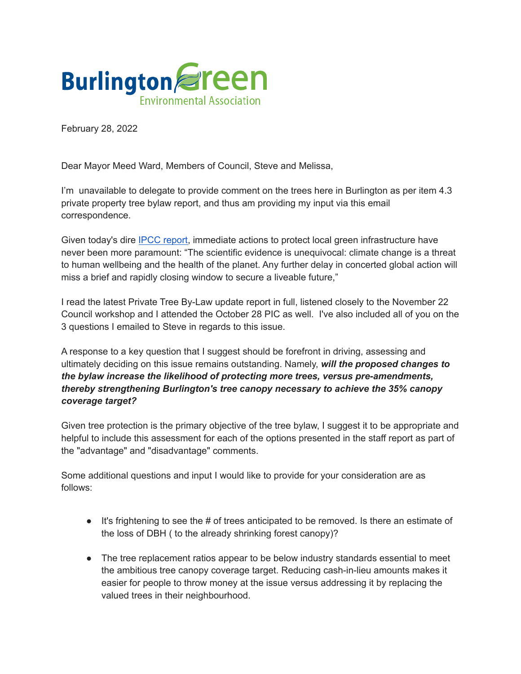

February 28, 2022

Dear Mayor Meed Ward, Members of Council, Steve and Melissa,

I'm unavailable to delegate to provide comment on the trees here in Burlington as per item 4.3 private property tree bylaw report, and thus am providing my input via this email correspondence.

Given today's dire IPCC [report,](https://www.ipcc.ch/report/ar6/wg2/resources/press/press-release) immediate actions to protect local green infrastructure have never been more paramount: "The scientific evidence is unequivocal: climate change is a threat to human wellbeing and the health of the planet. Any further delay in concerted global action will miss a brief and rapidly closing window to secure a liveable future,"

I read the latest Private Tree By-Law update report in full, listened closely to the November 22 Council workshop and I attended the October 28 PIC as well. I've also included all of you on the 3 questions I emailed to Steve in regards to this issue.

A response to a key question that I suggest should be forefront in driving, assessing and ultimately deciding on this issue remains outstanding. Namely, *will the proposed changes to the bylaw increase the likelihood of protecting more trees, versus pre-amendments, thereby strengthening Burlington's tree canopy necessary to achieve the 35% canopy coverage target?*

Given tree protection is the primary objective of the tree bylaw, I suggest it to be appropriate and helpful to include this assessment for each of the options presented in the staff report as part of the "advantage" and "disadvantage" comments.

Some additional questions and input I would like to provide for your consideration are as follows:

- $\bullet$  It's frightening to see the # of trees anticipated to be removed. Is there an estimate of the loss of DBH ( to the already shrinking forest canopy)?
- The tree replacement ratios appear to be below industry standards essential to meet the ambitious tree canopy coverage target. Reducing cash-in-lieu amounts makes it easier for people to throw money at the issue versus addressing it by replacing the valued trees in their neighbourhood.